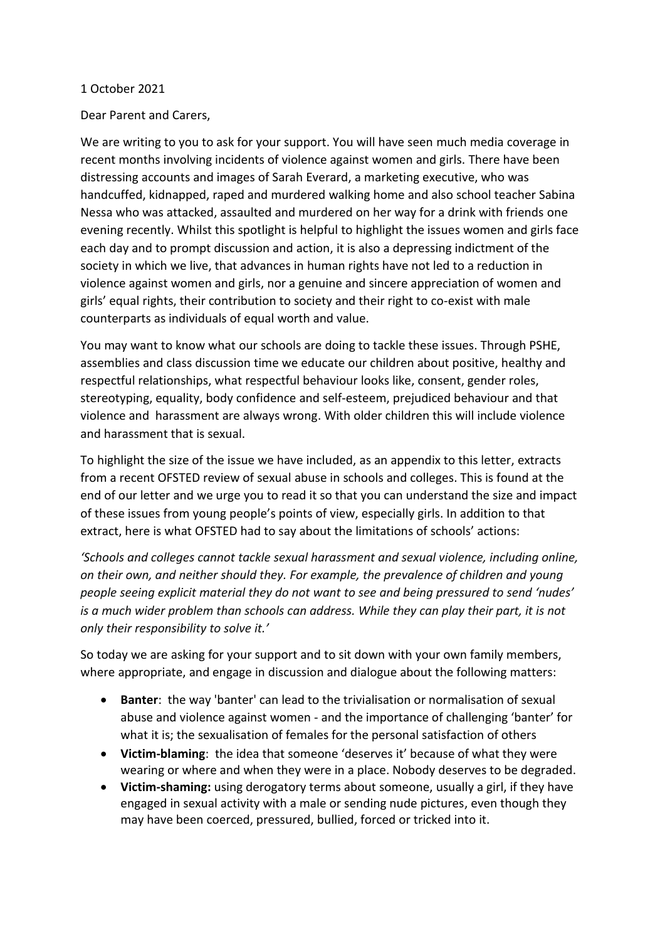## 1 October 2021

## Dear Parent and Carers,

We are writing to you to ask for your support. You will have seen much media coverage in recent months involving incidents of violence against women and girls. There have been distressing accounts and images of Sarah Everard, a marketing executive, who was handcuffed, kidnapped, raped and murdered walking home and also school teacher Sabina Nessa who was attacked, assaulted and murdered on her way for a drink with friends one evening recently. Whilst this spotlight is helpful to highlight the issues women and girls face each day and to prompt discussion and action, it is also a depressing indictment of the society in which we live, that advances in human rights have not led to a reduction in violence against women and girls, nor a genuine and sincere appreciation of women and girls' equal rights, their contribution to society and their right to co-exist with male counterparts as individuals of equal worth and value.

You may want to know what our schools are doing to tackle these issues. Through PSHE, assemblies and class discussion time we educate our children about positive, healthy and respectful relationships, what respectful behaviour looks like, consent, gender roles, stereotyping, equality, body confidence and self-esteem, prejudiced behaviour and that violence and harassment are always wrong. With older children this will include violence and harassment that is sexual.

To highlight the size of the issue we have included, as an appendix to this letter, extracts from a recent OFSTED review of sexual abuse in schools and colleges. This is found at the end of our letter and we urge you to read it so that you can understand the size and impact of these issues from young people's points of view, especially girls. In addition to that extract, here is what OFSTED had to say about the limitations of schools' actions:

*'Schools and colleges cannot tackle sexual harassment and sexual violence, including online, on their own, and neither should they. For example, the prevalence of children and young people seeing explicit material they do not want to see and being pressured to send 'nudes' is a much wider problem than schools can address. While they can play their part, it is not only their responsibility to solve it.'*

So today we are asking for your support and to sit down with your own family members, where appropriate, and engage in discussion and dialogue about the following matters:

- **Banter**: the way 'banter' can lead to the trivialisation or normalisation of sexual abuse and violence against women - and the importance of challenging 'banter' for what it is; the sexualisation of females for the personal satisfaction of others
- **Victim-blaming**: the idea that someone 'deserves it' because of what they were wearing or where and when they were in a place. Nobody deserves to be degraded.
- **Victim-shaming:** using derogatory terms about someone, usually a girl, if they have engaged in sexual activity with a male or sending nude pictures, even though they may have been coerced, pressured, bullied, forced or tricked into it.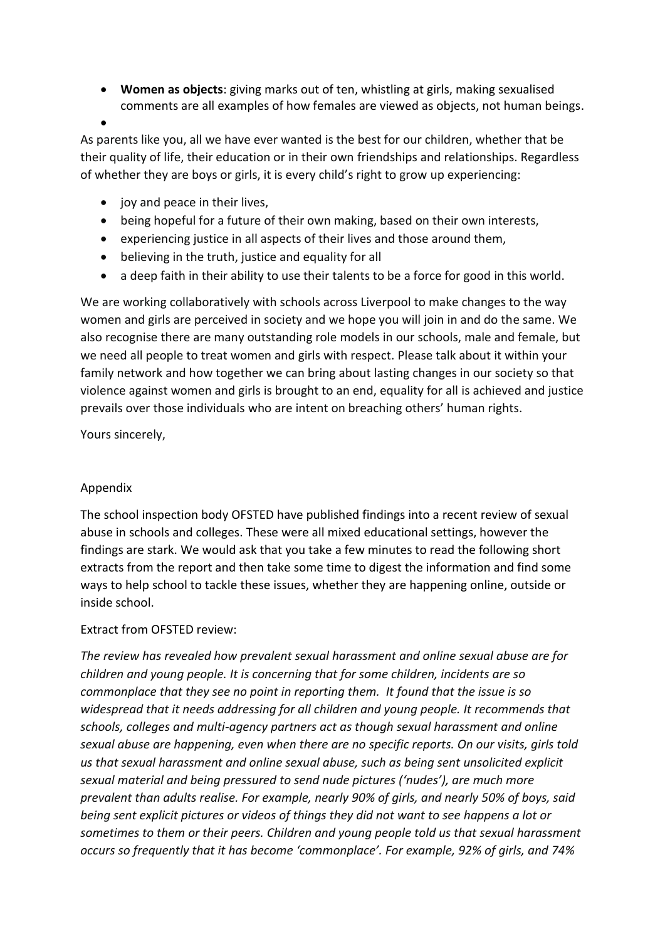**Women as objects**: giving marks out of ten, whistling at girls, making sexualised comments are all examples of how females are viewed as objects, not human beings.

 $\bullet$ 

As parents like you, all we have ever wanted is the best for our children, whether that be their quality of life, their education or in their own friendships and relationships. Regardless of whether they are boys or girls, it is every child's right to grow up experiencing:

- $\bullet$  joy and peace in their lives.
- being hopeful for a future of their own making, based on their own interests,
- experiencing justice in all aspects of their lives and those around them,
- believing in the truth, justice and equality for all
- a deep faith in their ability to use their talents to be a force for good in this world.

We are working collaboratively with schools across Liverpool to make changes to the way women and girls are perceived in society and we hope you will join in and do the same. We also recognise there are many outstanding role models in our schools, male and female, but we need all people to treat women and girls with respect. Please talk about it within your family network and how together we can bring about lasting changes in our society so that violence against women and girls is brought to an end, equality for all is achieved and justice prevails over those individuals who are intent on breaching others' human rights.

Yours sincerely,

## Appendix

The school inspection body OFSTED have published findings into a recent review of sexual abuse in schools and colleges. These were all mixed educational settings, however the findings are stark. We would ask that you take a few minutes to read the following short extracts from the report and then take some time to digest the information and find some ways to help school to tackle these issues, whether they are happening online, outside or inside school.

## Extract from OFSTED review:

*The review has revealed how prevalent sexual harassment and online sexual abuse are for children and young people. It is concerning that for some children, incidents are so commonplace that they see no point in reporting them. It found that the issue is so widespread that it needs addressing for all children and young people. It recommends that schools, colleges and multi-agency partners act as though sexual harassment and online sexual abuse are happening, even when there are no specific reports. On our visits, girls told us that sexual harassment and online sexual abuse, such as being sent unsolicited explicit sexual material and being pressured to send nude pictures ('nudes'), are much more prevalent than adults realise. For example, nearly 90% of girls, and nearly 50% of boys, said being sent explicit pictures or videos of things they did not want to see happens a lot or sometimes to them or their peers. Children and young people told us that sexual harassment occurs so frequently that it has become 'commonplace'. For example, 92% of girls, and 74%*